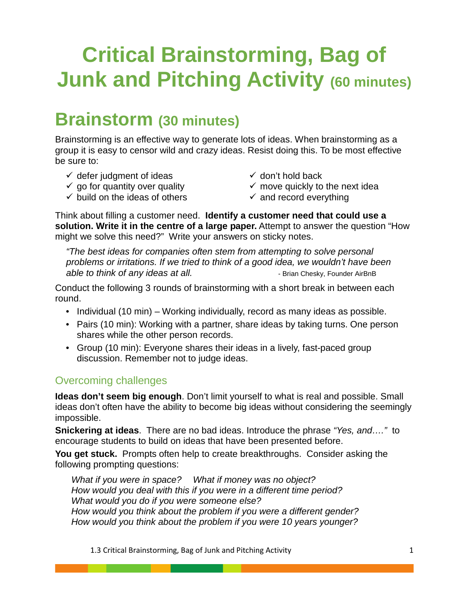# **Critical Brainstorming, Bag of Junk and Pitching Activity (60 minutes)**

### **Brainstorm (30 minutes)**

Brainstorming is an effective way to generate lots of ideas. When brainstorming as a group it is easy to censor wild and crazy ideas. Resist doing this. To be most effective be sure to:

- $\checkmark$  defer judgment of ideas  $\checkmark$  go for quantity over quality
- $\checkmark$  don't hold back
- $\checkmark$  move quickly to the next idea
- $\checkmark$  build on the ideas of others
- $\checkmark$  and record everything

Think about filling a customer need. **Identify a customer need that could use a solution. Write it in the centre of a large paper.** Attempt to answer the question "How might we solve this need?" Write your answers on sticky notes.

*"The best ideas for companies often stem from attempting to solve personal problems or irritations. If we tried to think of a good idea, we wouldn't have been able to think of any ideas at all.* **- Brian Chesky, Founder AirBnB** 

Conduct the following 3 rounds of brainstorming with a short break in between each round.

- Individual (10 min) Working individually, record as many ideas as possible.
- Pairs (10 min): Working with a partner, share ideas by taking turns. One person shares while the other person records.
- Group (10 min): Everyone shares their ideas in a lively, fast-paced group discussion. Remember not to judge ideas.

#### Overcoming challenges

**Ideas don't seem big enough**. Don't limit yourself to what is real and possible. Small ideas don't often have the ability to become big ideas without considering the seemingly impossible.

**Snickering at ideas**. There are no bad ideas. Introduce the phrase *"Yes, and…."* to encourage students to build on ideas that have been presented before.

**You get stuck.** Prompts often help to create breakthroughs. Consider asking the following prompting questions:

*What if you were in space? What if money was no object? How would you deal with this if you were in a different time period? What would you do if you were someone else? How would you think about the problem if you were a different gender? How would you think about the problem if you were 10 years younger?*

1.3 Critical Brainstorming, Bag of Junk and Pitching Activity 1